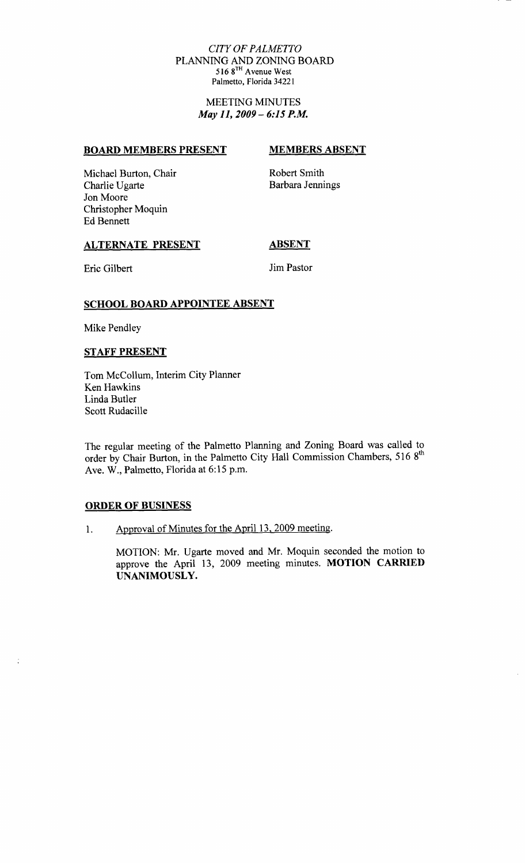#### CITY OF PALMETTO PLANNING AND ZONING BOARD 516 8TH Avenue West Palmetto, Florida 34221

#### MEETING MINUTES May 11, 2009 - 6:15 P.M.

#### BOARD MEMBERS PRESENT MEMBERS ABSENT

Michael Burton, Chair Robert Smith<br>Charlie Ugarte Barbara Jennings Charlie Ugarte Jon Moore Christopher Moquin Ed Bennett

### ALTERNATE PRESENT ABSENT

Eric Gilbert Jim Pastor

## SCHOOL BOARD APPOINTEE ABSENT

Mike Pendley

#### STAFF PRESENT

Tom McCollum, Interim City Planner Ken Hawkins Linda Butler Scott Rudacille

The regular meeting of the Palmetto Planning and Zoning Board was called to order by Chair Burton, in the Palmetto City Hall Commission Chambers, 516 8<sup>th</sup><br>Ave. W., Palmetto, Florida at 6:15 p.m.

#### ORDER OF BUSINESS

 $\ddot{\cdot}$ 

1. Approval of Minutes for the April 13, 2009 meeting.

MOTION: Mr. Ugarte moved and Mr. Moquin seconded the motion to approve the April 13, 2009 meeting minutes. MOTION CARRIED UNANIMOUSLY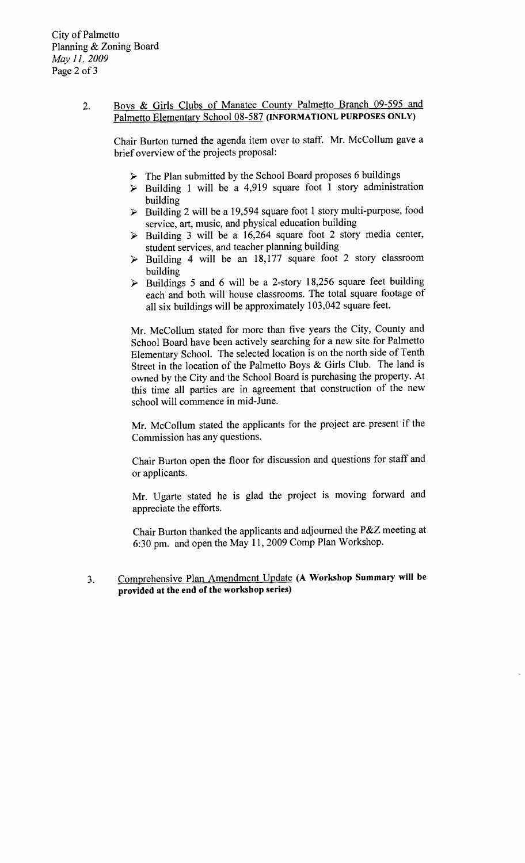# 2. Boys & Girls Clubs of Manatee County Palmetto Branch 09-595 and Boys & Girls Clubs of Manatee County Palmetto Branch 09-595 and Palmetto Elementary School 08-587 (INFORMATIONL PURPOSES ONLY)

Chair Burton turned the agenda item over to staff. Mr. McCollum gave a brief overview of the projects proposal

- $\triangleright$  The Plan submitted by the School Board proposes 6 buildings
- $\triangleright$  Building 1 will be a 4,919 square foot 1 story administration building
- $\triangleright$  Building 2 will be a 19,594 square foot 1 story multi-purpose, food service, art, music, and physical education building
- $\triangleright$  Building 3 will be a 16,264 square foot 2 story media center, student services, and teacher planning building
- 
- student services, and teacher planning building<br>Building 4 will be an 18,177 square foot 2 story classroom<br>building<br>Buildings 5 and 6 will be a 2-story 18,256 square feet building<br>each and both will house classrooms. The t building  $\ge$  Buildings 5 and 6 will be a 2-story 18,256 square feet building each and both will house classrooms. The total square footage of all six buildings will be approximately 103,042 square feet.

Mr. McCollum stated for more than five years the City, County and School Board have been actively searching for a new site for Palmetto Elementary School. The selected location is on the north side of Tenth Street in the location of the Palmetto Boys & Girls Club. The land is owned by the City and the School Board is purchasing the property. At this time all parties are in agreement that construction of the new school will commence in mid-June.

Mr. McCollum stated the applicants for the project are present if the Commission has any questions

Chair Burton open the floor for discussion and questions for staff and or applicants

Mr. Ugarte stated he is glad the project is moving forward and appreciate the efforts

appreciate the efforts.<br>Chair Burton thanked the applicants and adjourned the P&Z meeting at Chair Burton thanked the applicants and adjourned the P&Z<br>6:30 pm. and open the May 11, 2009 Comp Plan Workshop

Comprehensive Plan Amendment Update (A Workshop Summary will be  $3<sub>1</sub>$ provided at the end of the workshop series)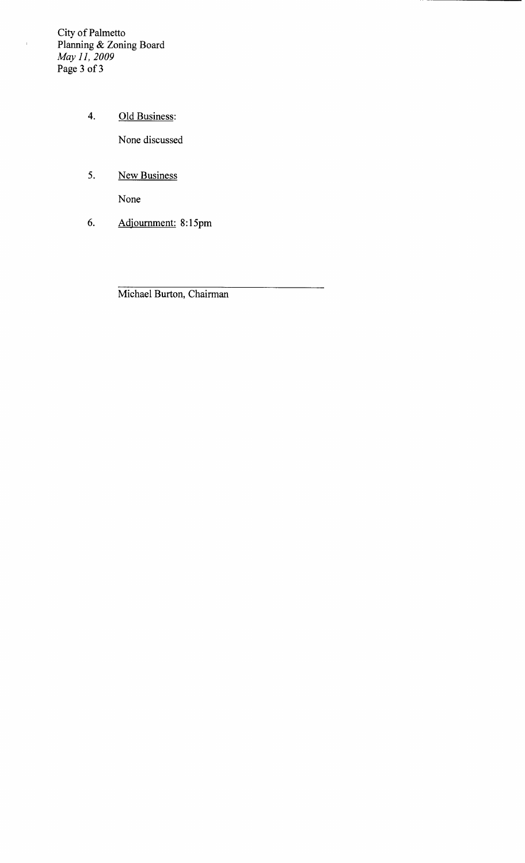City of Palmetto Planning & Zoning Board May 11, 2009 Page 3 of 3

- 4. Old Business: None discussed 4. Old Business:<br>None discussed<br>5. New Business<br>None<br>6. Adjournment: 8:15pm
- 5. New Business

None

Michael Burton, Chairman